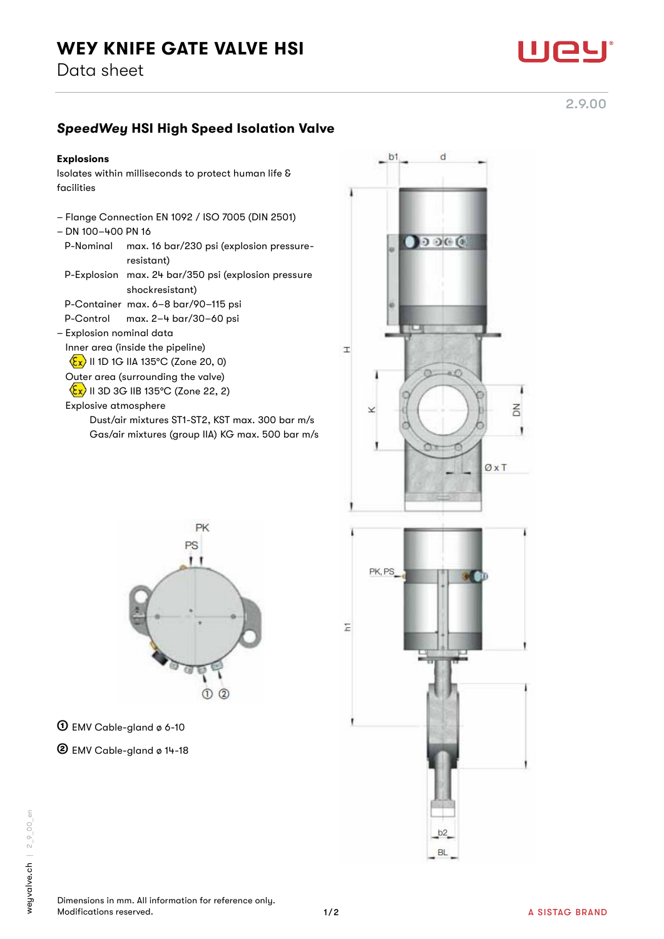

2.9.00

## *SpeedWey* HSI High Speed Isolation Valve

## Explosions

Isolates within milliseconds to protect human life & facilities

- Flange Connection EN 1092 / ISO 7005 (DIN 2501)
- DN 100–400 PN 16
- P-Nominal max. 16 bar/230 psi (explosion pressure resistant)
- P-Explosion max. 24 bar/350 psi (explosion pressure shockresistant)

P-Container max. 6–8 bar/90–115 psi

P-Control max. 2–4 bar/30–60 psi

- Explosion nominal data
	- Inner area (inside the pipeline)

 $\langle \overline{\xi x} \rangle$  II 1D 1G IIA 135°C (Zone 20, 0)

Outer area (surrounding the valve)

 $\langle \xi \chi \rangle$  II 3D 3G IIB 135°C (Zone 22, 2)

Explosive atmosphere

 Dust/air mixtures ST1-ST2, KST max. 300 bar m/s Gas/air mixtures (group IIA) KG max. 500 bar m/s





① EMV Cable-gland ø 6-10

② EMV Cable-gland ø 14-18